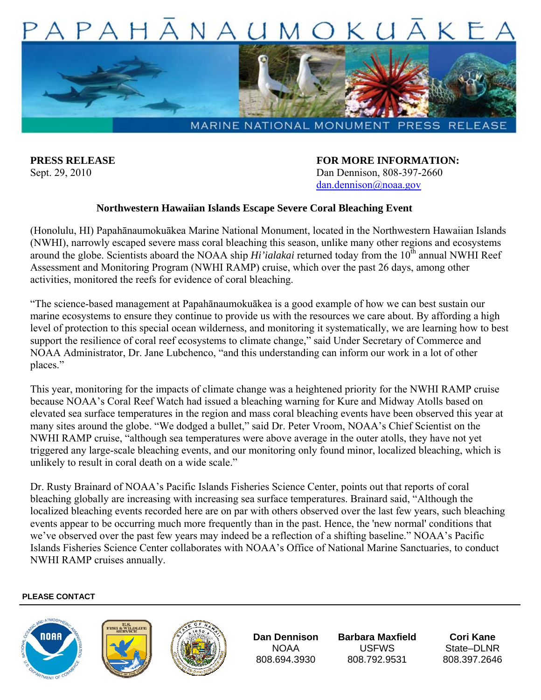



**PRESS RELEASE FOR MORE INFORMATION:** Sept. 29, 2010 Dan Dennison, 808-397-2660 dan.dennison@noaa.gov

## **Northwestern Hawaiian Islands Escape Severe Coral Bleaching Event**

(Honolulu, HI) Papahānaumokuākea Marine National Monument, located in the Northwestern Hawaiian Islands (NWHI), narrowly escaped severe mass coral bleaching this season, unlike many other regions and ecosystems around the globe. Scientists aboard the NOAA ship *Hi'ialakai* returned today from the 10<sup>th</sup> annual NWHI Reef Assessment and Monitoring Program (NWHI RAMP) cruise, which over the past 26 days, among other activities, monitored the reefs for evidence of coral bleaching.

"The science-based management at Papahānaumokuākea is a good example of how we can best sustain our marine ecosystems to ensure they continue to provide us with the resources we care about. By affording a high level of protection to this special ocean wilderness, and monitoring it systematically, we are learning how to best support the resilience of coral reef ecosystems to climate change," said Under Secretary of Commerce and NOAA Administrator, Dr. Jane Lubchenco, "and this understanding can inform our work in a lot of other places."

This year, monitoring for the impacts of climate change was a heightened priority for the NWHI RAMP cruise because NOAA's Coral Reef Watch had issued a bleaching warning for Kure and Midway Atolls based on elevated sea surface temperatures in the region and mass coral bleaching events have been observed this year at many sites around the globe. "We dodged a bullet," said Dr. Peter Vroom, NOAA's Chief Scientist on the NWHI RAMP cruise, "although sea temperatures were above average in the outer atolls, they have not yet triggered any large-scale bleaching events, and our monitoring only found minor, localized bleaching, which is unlikely to result in coral death on a wide scale."

Dr. Rusty Brainard of NOAA's Pacific Islands Fisheries Science Center, points out that reports of coral bleaching globally are increasing with increasing sea surface temperatures. Brainard said, "Although the localized bleaching events recorded here are on par with others observed over the last few years, such bleaching events appear to be occurring much more frequently than in the past. Hence, the 'new normal' conditions that we've observed over the past few years may indeed be a reflection of a shifting baseline." NOAA's Pacific Islands Fisheries Science Center collaborates with NOAA's Office of National Marine Sanctuaries, to conduct NWHI RAMP cruises annually.

## **PLEASE CONTACT**







**Dan Dennison**  NOAA 808.694.3930

**Barbara Maxfield**  USFWS 808.792.9531

**Cori Kane**  State–DI NR 808.397.2646